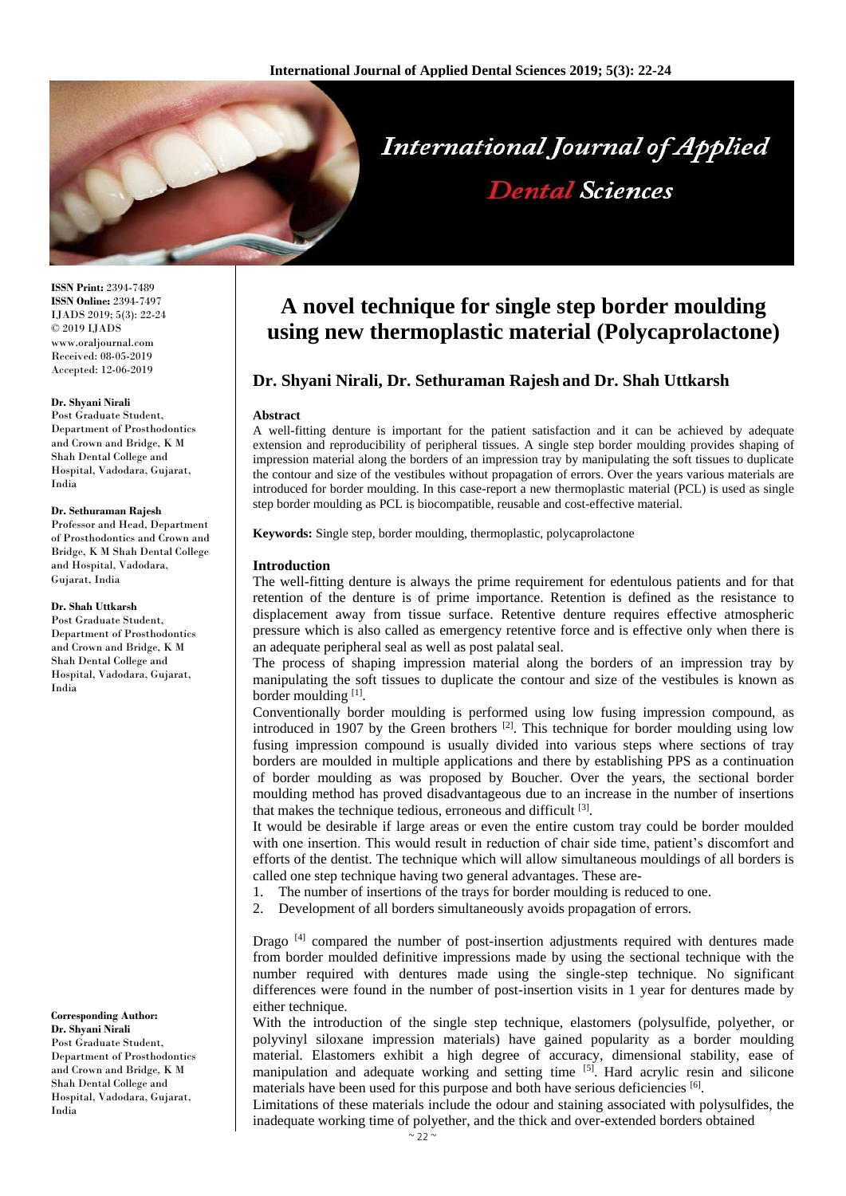

**ISSN Print:** 2394-7489 **ISSN Online:** 2394-7497 IJADS 2019; 5(3): 22-24 © 2019 IJADS www.oraljournal.com Received: 08-05-2019 Accepted: 12-06-2019

### **Dr. Shyani Nirali**

Post Graduate Student, Department of Prosthodontics and Crown and Bridge, K M Shah Dental College and Hospital, Vadodara, Gujarat, India

#### **Dr. Sethuraman Rajesh**

Professor and Head, Department of Prosthodontics and Crown and Bridge, K M Shah Dental College and Hospital, Vadodara, Gujarat, India

#### **Dr. Shah Uttkarsh**

Post Graduate Student, Department of Prosthodontics and Crown and Bridge, K M Shah Dental College and Hospital, Vadodara, Gujarat, India

**Corresponding Author: Dr. Shyani Nirali** Post Graduate Student, Department of Prosthodontics and Crown and Bridge, K M Shah Dental College and Hospital, Vadodara, Gujarat, India

# **A novel technique for single step border moulding using new thermoplastic material (Polycaprolactone)**

# **Dr. Shyani Nirali, Dr. Sethuraman Rajesh and Dr. Shah Uttkarsh**

#### **Abstract**

A well-fitting denture is important for the patient satisfaction and it can be achieved by adequate extension and reproducibility of peripheral tissues. A single step border moulding provides shaping of impression material along the borders of an impression tray by manipulating the soft tissues to duplicate the contour and size of the vestibules without propagation of errors. Over the years various materials are introduced for border moulding. In this case-report a new thermoplastic material (PCL) is used as single step border moulding as PCL is biocompatible, reusable and cost-effective material.

**Keywords:** Single step, border moulding, thermoplastic, polycaprolactone

# **Introduction**

The well-fitting denture is always the prime requirement for edentulous patients and for that retention of the denture is of prime importance. Retention is defined as the resistance to displacement away from tissue surface. Retentive denture requires effective atmospheric pressure which is also called as emergency retentive force and is effective only when there is an adequate peripheral seal as well as post palatal seal.

The process of shaping impression material along the borders of an impression tray by manipulating the soft tissues to duplicate the contour and size of the vestibules is known as border moulding [1].

Conventionally border moulding is performed using low fusing impression compound, as introduced in 1907 by the Green brothers  $[2]$ . This technique for border moulding using low fusing impression compound is usually divided into various steps where sections of tray borders are moulded in multiple applications and there by establishing PPS as a continuation of border moulding as was proposed by Boucher. Over the years, the sectional border moulding method has proved disadvantageous due to an increase in the number of insertions that makes the technique tedious, erroneous and difficult [3].

It would be desirable if large areas or even the entire custom tray could be border moulded with one insertion. This would result in reduction of chair side time, patient's discomfort and efforts of the dentist. The technique which will allow simultaneous mouldings of all borders is called one step technique having two general advantages. These are-

1. The number of insertions of the trays for border moulding is reduced to one.

2. Development of all borders simultaneously avoids propagation of errors.

Drago<sup>[4]</sup> compared the number of post-insertion adjustments required with dentures made from border moulded definitive impressions made by using the sectional technique with the number required with dentures made using the single-step technique. No significant differences were found in the number of post-insertion visits in 1 year for dentures made by either technique.

With the introduction of the single step technique, elastomers (polysulfide, polyether, or polyvinyl siloxane impression materials) have gained popularity as a border moulding material. Elastomers exhibit a high degree of accuracy, dimensional stability, ease of manipulation and adequate working and setting time  $[5]$ . Hard acrylic resin and silicone materials have been used for this purpose and both have serious deficiencies [6].

Limitations of these materials include the odour and staining associated with polysulfides, the inadequate working time of polyether, and the thick and over-extended borders obtained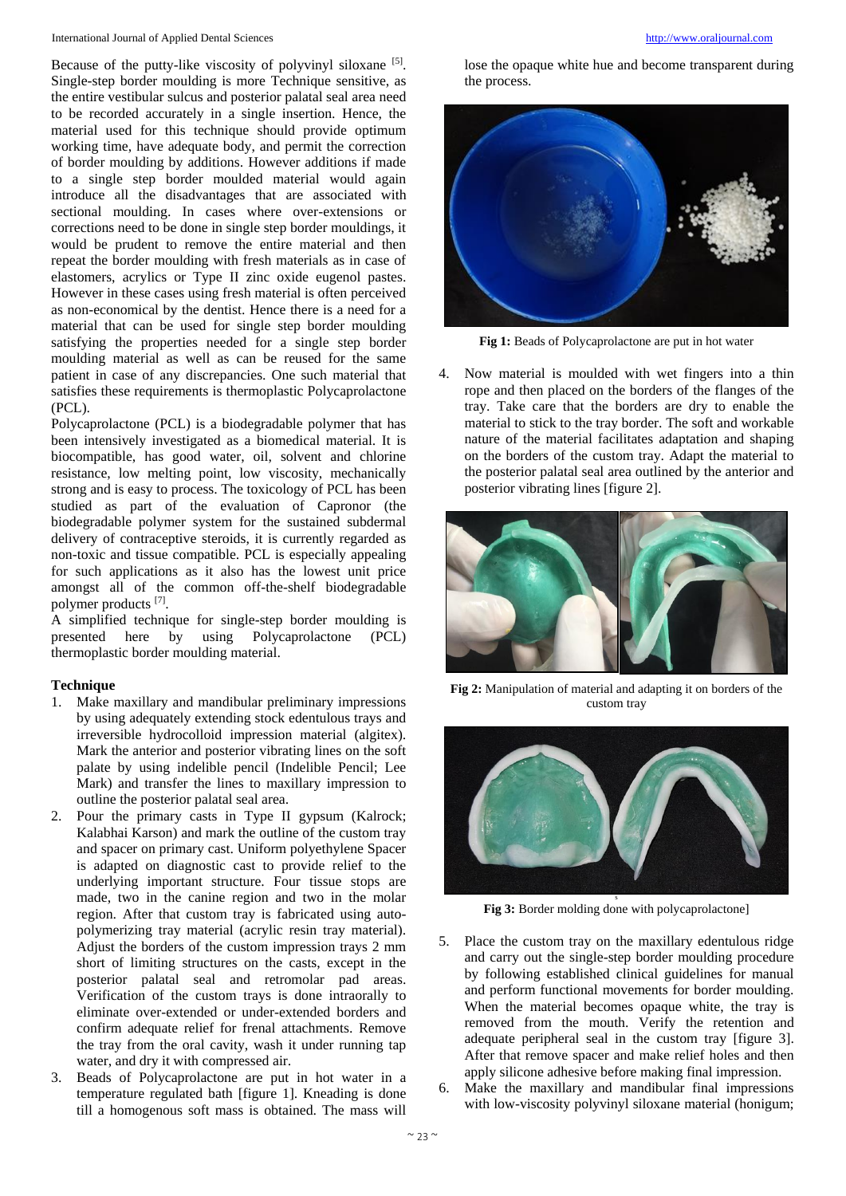Because of the putty-like viscosity of polyvinyl siloxane [5]. Single-step border moulding is more Technique sensitive, as the entire vestibular sulcus and posterior palatal seal area need to be recorded accurately in a single insertion. Hence, the material used for this technique should provide optimum working time, have adequate body, and permit the correction of border moulding by additions. However additions if made to a single step border moulded material would again introduce all the disadvantages that are associated with sectional moulding. In cases where over-extensions or corrections need to be done in single step border mouldings, it would be prudent to remove the entire material and then repeat the border moulding with fresh materials as in case of elastomers, acrylics or Type II zinc oxide eugenol pastes. However in these cases using fresh material is often perceived as non-economical by the dentist. Hence there is a need for a material that can be used for single step border moulding satisfying the properties needed for a single step border moulding material as well as can be reused for the same patient in case of any discrepancies. One such material that satisfies these requirements is thermoplastic Polycaprolactone (PCL).

Polycaprolactone (PCL) is a biodegradable polymer that has been intensively investigated as a biomedical material. It is biocompatible, has good water, oil, solvent and chlorine resistance, low melting point, low viscosity, mechanically strong and is easy to process. The toxicology of PCL has been studied as part of the evaluation of Capronor (the biodegradable polymer system for the sustained subdermal delivery of contraceptive steroids, it is currently regarded as non-toxic and tissue compatible. PCL is especially appealing for such applications as it also has the lowest unit price amongst all of the common off-the-shelf biodegradable polymer products [7].

A simplified technique for single-step border moulding is presented here by using Polycaprolactone (PCL) thermoplastic border moulding material.

# **Technique**

- 1. Make maxillary and mandibular preliminary impressions by using adequately extending stock edentulous trays and irreversible hydrocolloid impression material (algitex). Mark the anterior and posterior vibrating lines on the soft palate by using indelible pencil (Indelible Pencil; Lee Mark) and transfer the lines to maxillary impression to outline the posterior palatal seal area.
- 2. Pour the primary casts in Type II gypsum (Kalrock; Kalabhai Karson) and mark the outline of the custom tray and spacer on primary cast. Uniform polyethylene Spacer is adapted on diagnostic cast to provide relief to the underlying important structure. Four tissue stops are made, two in the canine region and two in the molar region. After that custom tray is fabricated using autopolymerizing tray material (acrylic resin tray material). Adjust the borders of the custom impression trays 2 mm short of limiting structures on the casts, except in the posterior palatal seal and retromolar pad areas. Verification of the custom trays is done intraorally to eliminate over-extended or under-extended borders and confirm adequate relief for frenal attachments. Remove the tray from the oral cavity, wash it under running tap water, and dry it with compressed air.
- 3. Beads of Polycaprolactone are put in hot water in a temperature regulated bath [figure 1]. Kneading is done till a homogenous soft mass is obtained. The mass will

lose the opaque white hue and become transparent during the process.



**Fig 1:** Beads of Polycaprolactone are put in hot water

4. Now material is moulded with wet fingers into a thin rope and then placed on the borders of the flanges of the tray. Take care that the borders are dry to enable the material to stick to the tray border. The soft and workable nature of the material facilitates adaptation and shaping on the borders of the custom tray. Adapt the material to the posterior palatal seal area outlined by the anterior and posterior vibrating lines [figure 2].



**Fig 2:** Manipulation of material and adapting it on borders of the custom tray



Fig 3: Border molding done with polycaprolactone]

- 5. Place the custom tray on the maxillary edentulous ridge and carry out the single-step border moulding procedure by following established clinical guidelines for manual and perform functional movements for border moulding. When the material becomes opaque white, the tray is removed from the mouth. Verify the retention and adequate peripheral seal in the custom tray [figure 3]. After that remove spacer and make relief holes and then apply silicone adhesive before making final impression.
- Make the maxillary and mandibular final impressions with low-viscosity polyvinyl siloxane material (honigum;